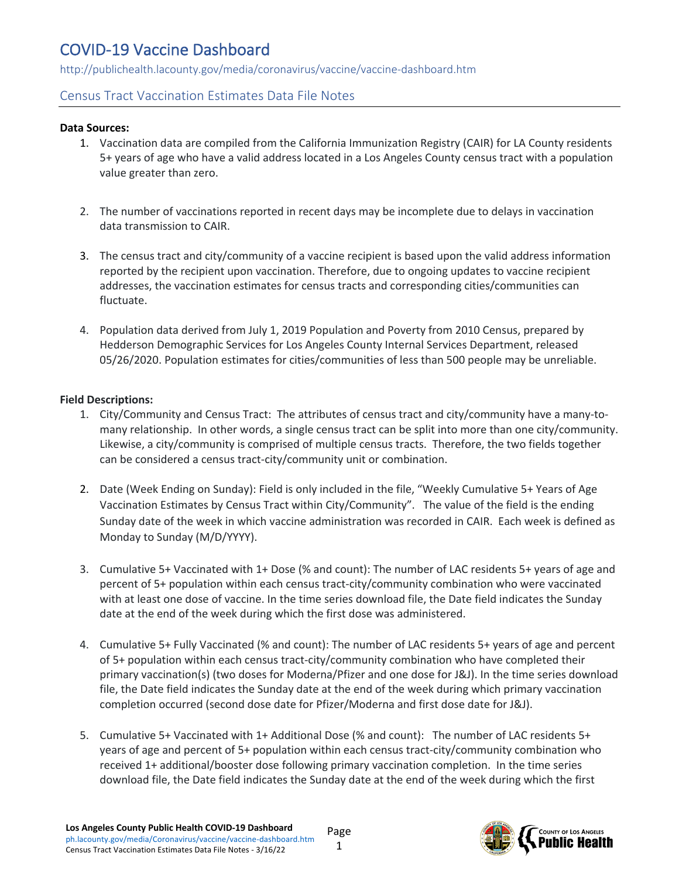## COVID-19 Vaccine Dashboard

http://publichealth.lacounty.gov/media/coronavirus/vaccine/vaccine-dashboard.htm

## Census Tract Vaccination Estimates Data File Notes

#### **Data Sources:**

- 1. Vaccination data are compiled from the California Immunization Registry (CAIR) for LA County residents 5+ years of age who have a valid address located in a Los Angeles County census tract with a population value greater than zero.
- 2. The number of vaccinations reported in recent days may be incomplete due to delays in vaccination data transmission to CAIR.
- 3. The census tract and city/community of a vaccine recipient is based upon the valid address information reported by the recipient upon vaccination. Therefore, due to ongoing updates to vaccine recipient addresses, the vaccination estimates for census tracts and corresponding cities/communities can fluctuate.
- 4. Population data derived from July 1, 2019 Population and Poverty from 2010 Census, prepared by Hedderson Demographic Services for Los Angeles County Internal Services Department, released 05/26/2020. Population estimates for cities/communities of less than 500 people may be unreliable.

### **Field Descriptions:**

- 1. City/Community and Census Tract: The attributes of census tract and city/community have a many-tomany relationship. In other words, a single census tract can be split into more than one city/community. Likewise, a city/community is comprised of multiple census tracts. Therefore, the two fields together can be considered a census tract-city/community unit or combination.
- 2. Date (Week Ending on Sunday): Field is only included in the file, "Weekly Cumulative 5+ Years of Age Vaccination Estimates by Census Tract within City/Community". The value of the field is the ending Sunday date of the week in which vaccine administration was recorded in CAIR. Each week is defined as Monday to Sunday (M/D/YYYY).
- 3. Cumulative 5+ Vaccinated with 1+ Dose (% and count): The number of LAC residents 5+ years of age and percent of 5+ population within each census tract-city/community combination who were vaccinated with at least one dose of vaccine. In the time series download file, the Date field indicates the Sunday date at the end of the week during which the first dose was administered.
- 4. Cumulative 5+ Fully Vaccinated (% and count): The number of LAC residents 5+ years of age and percent of 5+ population within each census tract-city/community combination who have completed their primary vaccination(s) (two doses for Moderna/Pfizer and one dose for J&J). In the time series download file, the Date field indicates the Sunday date at the end of the week during which primary vaccination completion occurred (second dose date for Pfizer/Moderna and first dose date for J&J).
- 5. Cumulative 5+ Vaccinated with 1+ Additional Dose (% and count): The number of LAC residents 5+ years of age and percent of 5+ population within each census tract-city/community combination who received 1+ additional/booster dose following primary vaccination completion. In the time series download file, the Date field indicates the Sunday date at the end of the week during which the first